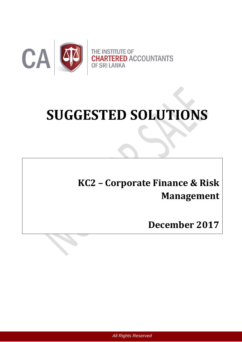

# **SUGGESTED SOLUTIONS**

# **KC2 – Corporate Finance & Risk Management**

**December 2017**

*All Rights Reserved*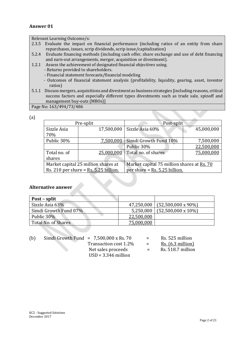# **Answer 01**

Relevant Learning Outcome/s:

- 2.3.5 Evaluate the impact on financial performance (including ratios of an entity from share repurchases, issues, scrip dividends, scrip issue/capitalization)
- 5.2.4 Evaluate financing methods (including cash offer, share exchange and use of debt financing and earn-out arrangements, merger, acquisition or divestment).
- 1.2.1 Assess the achievement of designated financial objectives using.
	- Returns provided to shareholders.
	- Financial statement forecasts/financial modeling
	- Outcomes of financial statement analysis (profitability, liquidity, gearing, asset, investor ratios)
- 5.1.1 Discuss mergers, acquisitions and divestment as business strategies [including reasons, critical success factors and especially different types divestments such as trade sale, spinoff and management buy-outs (MBOs)]

Page No: 163/494/73/486

| ٠ |                |
|---|----------------|
|   | ۰.<br>۰.       |
|   |                |
| × | ×<br>. .<br>۰. |

| Pre-split                               |            | Post-split                                 |            |
|-----------------------------------------|------------|--------------------------------------------|------------|
| Sizzle Asia                             | 17,500,000 | Sizzle Asia 60%                            | 45,000,000 |
| 70%                                     |            |                                            |            |
| Public 30%                              | 7,500,000  | Simdi Growth Fund 10%                      | 7,500,000  |
|                                         |            | Public 30%                                 | 22,500,000 |
| Total no. of                            | 25,000,000 | Total no. of shares                        | 75,000,000 |
| shares                                  |            |                                            |            |
| Market capital 25 million shares at     |            | Market capital 75 million shares at Rs. 70 |            |
| Rs. 210 per share = $Rs. 5.25$ billion. |            | per share = $Rs. 5.25$ billion.            |            |

## **Alternative answer**

| Post – split          |            |                                 |
|-----------------------|------------|---------------------------------|
| Sizzle Asia 63%       |            | $47,250,000$ (52,500,000 x 90%) |
| Simdi Growth Fund 07% | 5,250,000  | $(52,500,000 \times 10\%)$      |
| Public 30%            | 22,500,000 |                                 |
| Total No. of Shares   | 75,000,000 |                                 |

| (b) | Simdi Growth Fund = $7,500,000 \times$ Rs. 70 | $=$ | Rs. 525 million              |
|-----|-----------------------------------------------|-----|------------------------------|
|     | Transaction cost 1.2%                         | $=$ | $\mathsf{Rs.}$ (6.3 million) |
|     | Net sales proceeds                            | $=$ | Rs. 518.7 million            |
|     | $USD = 3.346$ million                         |     |                              |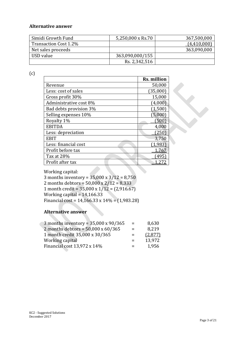# **Alternative answer**

| Simidi Growth Fund    | 5,250,000 x Rs.70 | 367,500,000 |
|-----------------------|-------------------|-------------|
| Transaction Cost 1.2% |                   | (4,410,000) |
| Net sales proceeds    |                   | 363,090,000 |
| USD value             | 363,090,000/155   |             |
|                       | Rs. 2,342,516     |             |

(c)

|                        | Rs. million |  |
|------------------------|-------------|--|
|                        |             |  |
| Revenue                | 50,000      |  |
| Less: cost of sales    | (35,000)    |  |
| Gross profit 30%       | 15,000      |  |
| Administrative cost 8% | (4,000)     |  |
| Bad debts provision 3% | (1, 500)    |  |
| Selling expenses 10%   | (5,000)     |  |
| Royalty 1%             | (500)       |  |
| <b>EBITDA</b>          | 4,000       |  |
| Less: depreciation     | 1250        |  |
| <b>EBIT</b>            | 3,750       |  |
| Less: financial cost   | 1,983       |  |
| Profit before tax      | .767        |  |
| Tax at 28%             | 495         |  |
| Profit after tax       |             |  |

Working capital:

3 months inventory = 35,000 x 3/12 = 8,750 2 months debtors = 50,000 x 2/12 = 8,333 1 month credit = 35,000 x 1/12 = (2,916.67) Working capital = 14,166.33 Financial cost = 14,166.33 x 14% = (1,983.28)

# **Alternative answer**

| 3 months inventory = $35,000 \times 90/365$ | $=$ | 8,630   |
|---------------------------------------------|-----|---------|
| 2 months debtors = $50,000 \times 60 / 365$ | $=$ | 8,219   |
| 1 month credit 35,000 x 30/365              | $=$ | (2,877) |
| Working capital                             | $=$ | 13,972  |
| Financial cost 13,972 x 14%                 | $=$ | 1,956   |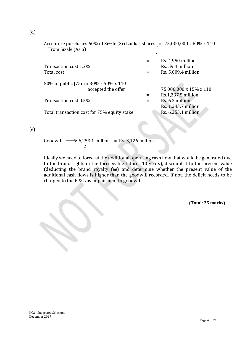| Accenture purchases 60% of Sizzle (Sri Lanka) shares $\vert$ = 75,000,000 x 60% x 110<br>From Sizzle (Asia) |                        |
|-------------------------------------------------------------------------------------------------------------|------------------------|
|                                                                                                             | Rs. 4,950 million      |
| Transaction cost 1.2%                                                                                       | Rs. 59.4 million       |
| Total cost                                                                                                  | Rs. 5,009.4 million    |
| 50% of public [75m x 30% x 50% x 110]                                                                       |                        |
| accepted the offer                                                                                          | 75,000,000 x 15% x 110 |
|                                                                                                             | Rs.1,237.5 million     |
| Transaction cost 0.5%                                                                                       | Rs. 6.2 million        |
|                                                                                                             | Rs. 1,243.7 million    |
| Total transaction cost for 75% equity stake                                                                 | Rs. 6,253.1 million    |
|                                                                                                             |                        |

(e)

Goodwill  $\longrightarrow$  6,253.1 million = Rs. 3,126 million 2

Ideally we need to forecast the additional operating cash flow that would be generated due to the brand rights in the foreseeable future (10 years), discount it to the present value (deducting the brand royalty fee) and determine whether the present value of the additional cash flows is higher than the goodwill recorded. If not, the deficit needs to be charged to the P & L as impairment to goodwill.

**(Total: 25 marks)**

(d)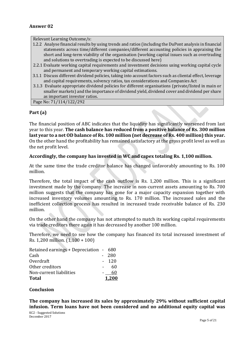# **Answer 02**

Relevant Learning Outcome/s:

- 1.2.2 Analyse financial results by using trends and ratios (including the DuPont analysis in financial statements across time/different companies/different accounting policies in appraising the short and long-term viability of the organisation (working capital issues such as overtrading and solutions to overtrading is expected to be discussed here)
- 2.2.1 Evaluate working capital requirements and investment decisions using working capital cycle and permanent and temporary working capital estimations.
- 3.1.1 Discuss different dividend policies, taking into account factors such as cliental effect, leverage and capital requirements, solvency ratios, tax considerations and Companies Act
- 3.1.3 Evaluate appropriate dividend policies for different organisations (private/listed in main or smaller markets) and the importance of dividend yield, dividend cover and dividend per share as important investor ratios.

Page No: 71/114/122/292

# **Part (a)**

The financial position of ABC indicates that the liquidity has significantly worsened from last year to this year. **The cash balance has reduced from a positive balance of Rs. 300 million last year to a net OD balance of Rs. 100 million (net decrease of Rs. 400 million) this year.** On the other hand the profitability has remained satisfactory at the gross profit level as well as the net profit level.

## **Accordingly, the company has invested in WC and capex totaling Rs. 1,100 million.**

At the same time the trade creditor balance has changed unfavorably amounting to Rs. 100 million.

Therefore, the total impact of the cash outflow is Rs. 1,200 million. This is a significant investment made by the company. The increase in non-current assets amounting to Rs. 700 million suggests that the company has gone for a major capacity expansion together with increased inventory volumes amounting to Rs. 170 million. The increased sales and the inefficient collection process has resulted in increased trade receivable balance of Rs. 230 million.

On the other hand the company has not attempted to match its working capital requirements via trade creditors there again it has decreased by another 100 million.

Therefore, we need to see how the company has financed its total increased investment of Rs. 1,200 million. (1,100 + 100)

| <b>Total</b>                           |                 | 1.200 |
|----------------------------------------|-----------------|-------|
| Non-current liabilities                |                 | 60    |
| Other creditors                        |                 | 60    |
| Overdraft                              | $\sim$ 10 $\pm$ | 120   |
| Cash                                   |                 | 280   |
| Retained earnings + Depreciation - 680 |                 |       |

## **Conclusion**

**The company has increased its sales by approximately 29% without sufficient capital infusion. Term loans have not been considered and no additional equity capital was**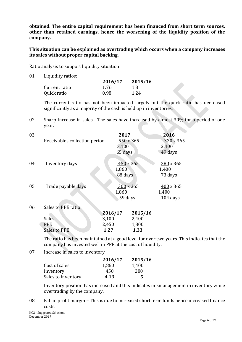**obtained. The entire capital requirement has been financed from short term sources, other than retained earnings, hence the worsening of the liquidity position of the company.**

**This situation can be explained as overtrading which occurs when a company increases its sales without proper capital backing.**

Ratio analysis to support liquidity situation

01. Liquidity ratios:

|               | 2016/17 | 2015/16 |
|---------------|---------|---------|
| Current ratio | 1.76    | -1.8    |
| Quick ratio   | 0.98    | 1.24    |

The current ratio has not been impacted largely but the quick ratio has decreased significantly as a majority of the cash is held up in inventories.

02. Sharp Increase in sales - The sales have increased by almost 30% for a period of one year.

| 03. | Receivables collection period | 2017<br>550 x 365<br>3,100<br>65 days | 2016<br>$320 \times 365$<br>2,400<br>49 days |
|-----|-------------------------------|---------------------------------------|----------------------------------------------|
| 04  | Inventory days                | 450 x 365<br>1,860<br>88 days         | $280 \times 365$<br>1,400<br>73 days         |
| 05  | Trade payable days            | $300 \times 365$<br>1,860<br>59 days  | $400 \times 365$<br>1,400<br>104 days        |
| 06. | Sales to PPE ratio:           | 901 <i>6</i> /17<br>2015/16           |                                              |

|              | 2016/17 | 2015/16 |
|--------------|---------|---------|
| <b>Sales</b> | 3,100   | 2,400   |
| <b>PPE</b>   | 2,450   | 1,800   |
| Sales to PPE | 1.27    | 1.33    |

The ratio has been maintained at a good level for over two years. This indicates that the company has invested well in PPE at the cost of liquidity.

07. Increase in sales to inventory

|                    | 2016/17 | 2015/16 |
|--------------------|---------|---------|
| Cost of sales      | 1,860   | 1,400   |
| Inventory          | 450     | 280     |
| Sales to inventory | 4.13    | 5       |

Inventory position has increased and this indicates mismanagement in inventory while overtrading by the company.

08. Fall in profit margin – This is due to increased short term funds hence increased finance costs.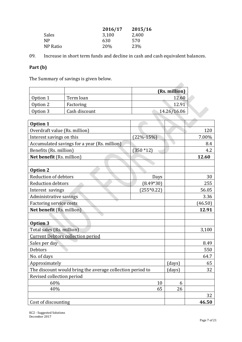|                | 2016/17 | 2015/16 |
|----------------|---------|---------|
| Sales          | 3,100   | 2,400   |
| N <sub>P</sub> | 630     | 570     |
| NP Ratio       | 20%     | 23%     |

09. Increase in short term funds and decline in cash and cash equivalent balances.

# **Part (b)**

The Summary of savings is given below.

|          |               | (Rs. million) |
|----------|---------------|---------------|
| Option 1 | Term loan     | 12.60         |
| Option 2 | Factoring     | 12.91         |
| Option 3 | Cash discount | 14.26/16.06   |

| Option 1                                                  | Term loan                                    |                 | 12.60       |       |
|-----------------------------------------------------------|----------------------------------------------|-----------------|-------------|-------|
| Option 2                                                  | Factoring                                    |                 | 12.91       |       |
| Option 3                                                  | Cash discount                                |                 | 14.26/16.06 |       |
|                                                           |                                              |                 |             |       |
| <b>Option 1</b>                                           |                                              |                 |             |       |
| Overdraft value (Rs. million)                             |                                              |                 |             | 120   |
| Interest savings on this                                  |                                              | $(22\% - 15\%)$ |             | 7.00% |
|                                                           | Accumulated savings for a year (Rs. million) |                 |             | 8.4   |
| Benefits (Rs. million)                                    |                                              | $(350 * 12)$    |             | 4.2   |
| Net benefit (Rs. million)                                 |                                              |                 |             | 12.60 |
|                                                           |                                              |                 |             |       |
| <b>Option 2</b>                                           |                                              |                 |             |       |
| Reduction of debtors                                      |                                              | Days            |             | 30    |
| <b>Reduction debtors</b>                                  |                                              | $(8.49*30)$     |             | 255   |
| Interest savings                                          |                                              | $(255*0.22)$    |             | 56.05 |
| Administrative savings                                    |                                              |                 | 3.36        |       |
| <b>Factoring service costs</b>                            |                                              |                 | (46.50)     |       |
| Net benefit (Rs. million)                                 |                                              |                 |             | 12.91 |
|                                                           |                                              |                 |             |       |
| <b>Option 3</b>                                           |                                              |                 |             |       |
| Total sales (Rs. million)                                 |                                              |                 | 3,100       |       |
| <b>Current Debtors collection period</b>                  |                                              |                 |             |       |
| Sales per day                                             |                                              |                 | 8.49        |       |
| <b>Debtors</b>                                            |                                              |                 | 550         |       |
| No. of days                                               |                                              |                 | 64.7        |       |
| Approximately                                             |                                              | (days)          | 65          |       |
| The discount would bring the average collection period to |                                              | (days)          | 32          |       |
| Revised collection period                                 |                                              |                 |             |       |
| 60%<br>10                                                 |                                              | 6               |             |       |
| 40%<br>65                                                 |                                              | 26              |             |       |
|                                                           |                                              |                 |             | 32    |
| Cost of discounting                                       |                                              |                 |             | 46.50 |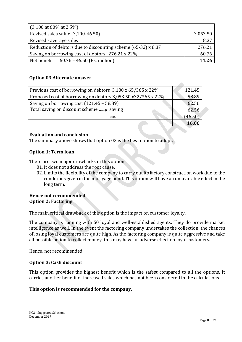| $(3,100 \text{ at } 60\% \text{ at } 2.5\%)$                  |          |
|---------------------------------------------------------------|----------|
| Revised sales value (3,100-46.50)                             | 3,053.50 |
| Revised - average sales                                       | 8.37     |
| Reduction of debtors due to discounting scheme (65-32) x 8.37 | 276.21   |
| Saving on borrowing cost of debtors 276.21 x 22%              | 60.76    |
| Net benefit $60.76 - 46.50$ (Rs. million)                     | 14.26    |

# **Option 03 Alternate answer**

| Previous cost of borrowing on debtors 3,100 x 65/365 x 22%   | 121.45  |
|--------------------------------------------------------------|---------|
| Proposed cost of borrowing on debtors 3,053.50 x32/365 x 22% | 58.89   |
| Saving on borrowing cost $(121.45 - 58.89)$                  | 62.56   |
| Total saving on discount scheme $\longrightarrow$ saving     | 62.56   |
| cost                                                         | (46.50) |
|                                                              |         |

# **Evaluation and conclusion**

The summary above shows that option 03 is the best option to adopt.

# **Option 1: Term loan**

There are two major drawbacks in this option.

- 01. It does not address the root cause.
- 02. Limits the flexibility of the company to carry out its factory construction work due to the conditions given in the mortgage bond. This option will have an unfavorable effect in the long term.

## **Hence not recommended. Option 2: Factoring**

The main critical drawback of this option is the impact on customer loyalty.

The company is running with 50 loyal and well-established agents. They do provide market intelligence as well. In the event the factoring company undertakes the collection, the chances of losing loyal customers are quite high. As the factoring company is quite aggressive and take all possible action to collect money, this may have an adverse effect on loyal customers.

Hence, not recommended.

# **Option 3: Cash discount**

This option provides the highest benefit which is the safest compared to all the options. It carries another benefit of increased sales which has not been considered in the calculations.

## **This option is recommended for the company.**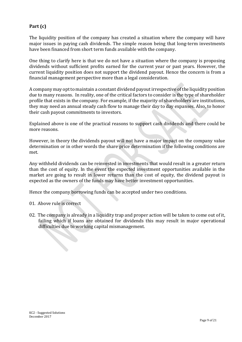# **Part (c)**

The liquidity position of the company has created a situation where the company will have major issues in paying cash dividends. The simple reason being that long-term investments have been financed from short term funds available with the company.

One thing to clarify here is that we do not have a situation where the company is proposing dividends without sufficient profits earned for the current year or past years. However, the current liquidity position does not support the dividend payout. Hence the concern is from a financial management perspective more than a legal consideration.

A company may opt to maintain a constant dividend payout irrespective of the liquidity position due to many reasons.In reality, one of the critical factors to consider is the type of shareholder profile that exists in the company. For example, if the majority of shareholders are institutions, they may need an annual steady cash flow to manage their day to day expanses. Also, to honor their cash payout commitments to investors.

Explained above is one of the practical reasons to support cash dividends and there could be more reasons.

However, in theory the dividends payout will not have a major impact on the company value determination or in other words the share price determination if the following conditions are met.

Any withheld dividends can be reinvested in investments that would result in a greater return than the cost of equity. In the event the expected investment opportunities available in the market are going to result in lower returns than the cost of equity, the dividend payout is expected as the owners of the funds may have better investment opportunities.

Hence the company borrowing funds can be accepted under two conditions.

01. Above rule is correct

02. The company is already in a liquidity trap and proper action will be taken to come out of it, failing which if loans are obtained for dividends this may result in major operational difficulties due to working capital mismanagement.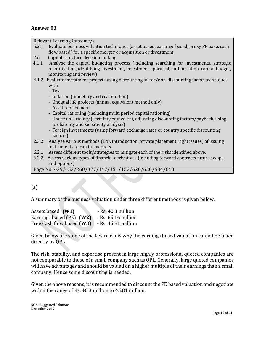# **Answer 03**

Relevant Learning Outcome/s

- 5.2.1 Evaluate business valuation techniques (asset based, earnings based, proxy PE base, cash flow based) for a specific merger or acquisition or divestment.
- 2.6 Capital structure decision making
- 4.1.1 Analyse the capital budgeting process (including searching for investments, strategic prioritisation, identifying investment, investment appraisal, authorisation, capital budget, monitoring and review)
- 4.1.2 Evaluate investment projects using discounting factor/non-discounting factor techniques with.

- Tax

- Inflation (monetary and real method)
- Unequal life projects (annual equivalent method only)
- Asset replacement
- Capital rationing (including multi period capital rationing)
- Under uncertainty (certainty equivalent, adjusting discounting factors/payback, using probability and sensitivity analysis)
- Foreign investments (using forward exchange rates or country specific discounting factors)
- 2.3.2 Analyse various methods (IPO, introduction, private placement, right issues) of issuing instruments to capital markets.
- 6.2.1 Assess different tools/strategies to mitigate each of the risks identified above.
- 6.2.2 Assess various types of financial derivatives (including forward contracts future swaps and options)

Page No: 439/453/260/327/147/151/152/620/630/634/640

# (a)

A summary of the business valuation under three different methods is given below.

| Assets based (W1)         | - Rs. 40.3 million    |
|---------------------------|-----------------------|
| Earnings based (PE) (W2)  | $-$ Rs. 65.16 million |
| Free Cash flow based (W3) | - Rs. 45.81 million   |

# Given below are some of the key reasons why the earnings based valuation cannot be taken directly by QPL.

The risk, stability, and expertise present in large highly professional quoted companies are not comparable to those of a small company such as QPL. Generally, large quoted companies will have advantages and should be valued on a higher multiple of their earnings than a small company. Hence some discounting is needed.

Given the above reasons, it is recommended to discount the PE based valuation and negotiate within the range of Rs. 40.3 million to 45.81 million.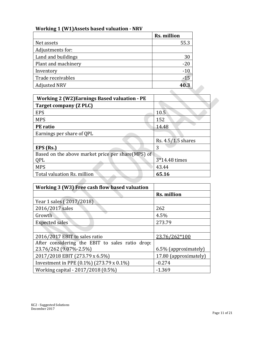# **Working 1 (W1)Assets based valuation - NRV**

|                     | <b>Rs. million</b> |
|---------------------|--------------------|
| Net assets          | 55.3               |
| Adjustments for:    |                    |
| Land and buildings  | 30                 |
| Plant and machinery | $-20$              |
| Inventory           | $-10$              |
| Trade receivables   | $-15$              |
| <b>Adjusted NRV</b> | 40.3               |

| <b>Adjusted NRV</b>                                 | 40.3               |  |
|-----------------------------------------------------|--------------------|--|
|                                                     |                    |  |
| <b>Working 2 (W2) Earnings Based valuation - PE</b> |                    |  |
| <b>Target company (Z PLC)</b>                       |                    |  |
| <b>EPS</b>                                          | 10.5               |  |
| <b>MPS</b>                                          | 152                |  |
| <b>PE</b> ratio                                     | 14.48              |  |
| Earnings per share of OPL                           |                    |  |
|                                                     | Rs. 4.5/1.5 shares |  |
| EPS (Rs.)                                           | 3                  |  |
| Based on the above market price per share (MPS) of  |                    |  |
| QPL                                                 | 3*14.48 times      |  |
| <b>MPS</b>                                          | 43.44              |  |
| Total valuation Rs. million                         | 65.16              |  |
|                                                     |                    |  |

| Working 3 (W3) Free cash flow based valuation   |                       |
|-------------------------------------------------|-----------------------|
|                                                 | Rs. million           |
| Year 1 sales (2017/2018)                        |                       |
| 2016/2017 sales                                 | 262                   |
| Growth                                          | 4.5%                  |
| <b>Expected sales</b>                           | 273.79                |
|                                                 |                       |
| 2016/2017 EBIT to sales ratio                   | 23.76/262*100         |
| After considering the EBIT to sales ratio drop: |                       |
| 23.76/262 (9.07%-2.5%)                          | 6.5% (approximately)  |
| 2017/2018 EBIT (273.79 x 6.5%)                  | 17.80 (approximately) |
| Investment in PPE (0.1%) (273.79 x 0.1%)        | $-0.274$              |
| Working capital - 2017/2018 (0.5%)              | $-1.369$              |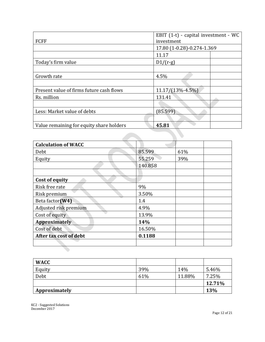| <b>FCFF</b>                              | EBIT (1-t) - capital investment - WC<br>investment |  |
|------------------------------------------|----------------------------------------------------|--|
|                                          | 17.80 (1-0.28)-0.274-1.369                         |  |
|                                          | 11.17                                              |  |
| Today's firm value                       | $D1/(r-g)$                                         |  |
|                                          |                                                    |  |
| Growth rate                              | 4.5%                                               |  |
|                                          |                                                    |  |
| Present value of firms future cash flows | 11.17/(13%-4.5%)                                   |  |
| Rs. million                              | 131.41                                             |  |
|                                          |                                                    |  |
| Less: Market value of debts              | (85.599)                                           |  |
|                                          |                                                    |  |
| Value remaining for equity share holders | 45.81                                              |  |
|                                          |                                                    |  |

| <b>Calculation of WACC</b> |         |     |
|----------------------------|---------|-----|
| Debt                       | 85.599  | 61% |
| Equity                     | 55.259  | 39% |
|                            | 140.858 |     |
|                            |         |     |
| <b>Cost of equity</b>      |         |     |
| Risk free rate             | 9%      |     |
| Risk premium               | 3.50%   |     |
| Beta factor(W4)            | 1.4     |     |
| Adjusted risk premium      | 4.9%    |     |
| Cost of equity             | 13.9%   |     |
| <b>Approximately</b>       | 14%     |     |
| Cost of debt               | 16.50%  |     |
| After tax cost of debt     | 0.1188  |     |
|                            |         |     |
|                            |         |     |

| <b>WACC</b>   |     |        |            |
|---------------|-----|--------|------------|
| Equity        | 39% | 14%    | 5.46%      |
| Debt          | 61% | 11.88% | 7.25%      |
|               |     |        | 12.71%     |
| Approximately |     |        | <b>13%</b> |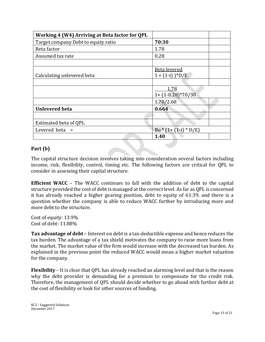| Working 4 (W4) Arriving at Beta factor for QPL |                              |
|------------------------------------------------|------------------------------|
| Target company Debt to equity ratio            | 70:30                        |
| Beta factor                                    | 1.78                         |
| Assumed tax rate                               | 0.28                         |
|                                                |                              |
|                                                | <b>Beta levered</b>          |
| Calculating unlevered beta                     | $1 + (1-t)$ <sup>*</sup> D/E |
|                                                |                              |
|                                                | 1.78                         |
|                                                | $1+(1-0.28)*70/30$           |
|                                                | 1.78/2.68                    |
| <b>Unlevered beta</b>                          | 0.664                        |
|                                                |                              |
| Estimated beta of QPL                          |                              |
| Levered beta $=$                               | $Bu * (1 + (1-t) * D/E)$     |
|                                                | 1.40                         |

# **Part (b)**

The capital structure decision involves taking into consideration several factors including income, risk, flexibility, control, timing etc. The following factors are critical for QPL to consider in assessing their capital structure.

**Efficient WACC** – The WACC continues to fall with the addition of debt to the capital structure provided the cost of debt is managed at the correct level. As far as QPL is concerned it has already reached a higher gearing position, debt to equity of 61:39, and there is a question whether the company is able to reduce WACC further by introducing more and more debt to the structure.

Cost of equity: 13.9% Cost of debt: 11.88%

**Tax advantage of debt** – Interest on debt is a tax-deductible expense and hence reduces the tax burden. The advantage of a tax shield motivates the company to raise more loans from the market. The market value of the firm would increase with the decreased tax burden. As explained in the previous point the reduced WACC would mean a higher market valuation for the company.

**Flexibility** – It is clear that QPL has already reached an alarming level and that is the reason why the debt provider is demanding for a premium to compensate for the credit risk. Therefore, the management of QPL should decide whether to go ahead with further debt at the cost of flexibility or look for other sources of funding.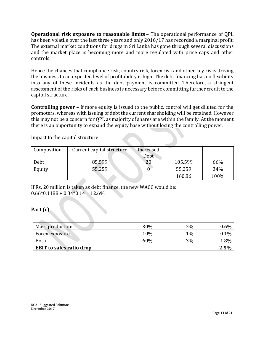**Operational risk exposure to reasonable limits** – The operational performance of QPL has been volatile over the last three years and only 2016/17 has recorded a marginal profit. The external market conditions for drugs in Sri Lanka has gone through several discussions and the market place is becoming more and more regulated with price caps and other controls.

Hence the chances that compliance risk, country risk, forex risk and other key risks driving the business to an expected level of profitability is high. The debt financing has no flexibility into any of these incidents as the debt payment is committed. Therefore, a stringent assessment of the risks of each business is necessary before committing further credit to the capital structure.

**Controlling power** – If more equity is issued to the public, control will get diluted for the promoters, whereas with issuing of debt the current shareholding will be retained. However this may not be a concern for QPL as majority of shares are within the family. At the moment there is an opportunity to expand the equity base without losing the controlling power.

| Composition | Current capital structure | Increased<br>Debt |         |      |
|-------------|---------------------------|-------------------|---------|------|
| Debt        | 85.599                    |                   | 105.599 | 66%  |
| Equity      | 55.259                    |                   | 55.259  | 34%  |
|             |                           |                   | 160.86  | 100% |

Impact to the capital structure

If Rs. 20 million is taken as debt finance, the new WACC would be:  $0.66*0.1188 + 0.34*0.14 = 12.6%$ 

**Part (c)**

| Mass production                 | 30% | 2%    | $0.6\%$ |
|---------------------------------|-----|-------|---------|
| Forex exposure                  | 10% | $1\%$ | $0.1\%$ |
| <b>Both</b>                     | 60% | 3%    | 1.8%    |
| <b>EBIT to sales ratio drop</b> |     |       | 2.5%    |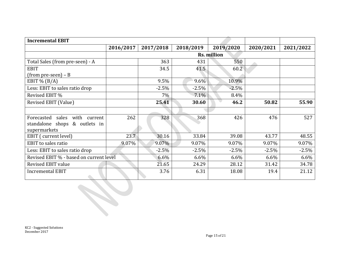| <b>Incremental EBIT</b>                 |           |           |           |             |           |           |
|-----------------------------------------|-----------|-----------|-----------|-------------|-----------|-----------|
|                                         | 2016/2017 | 2017/2018 | 2018/2019 | 2019/2020   | 2020/2021 | 2021/2022 |
|                                         |           |           |           | Rs. million |           |           |
| Total Sales (from pre-seen) - A         |           | 363       | 431       | 550         |           |           |
| <b>EBIT</b>                             |           | 34.5      | 41.5      | 60.2        |           |           |
| $(from pre-seen) - B$                   |           |           |           |             |           |           |
| EBIT % $(B/A)$                          |           | 9.5%      | $9.6\%$   | 10.9%       |           |           |
| Less: EBIT to sales ratio drop          |           | $-2.5%$   | $-2.5%$   | $-2.5%$     |           |           |
| Revised EBIT %                          |           | $7\%$     | 7.1%      | 8.4%        |           |           |
| Revised EBIT (Value)                    |           | 25.41     | 30.60     | 46.2        | 50.82     | 55.90     |
|                                         |           |           |           |             |           |           |
| sales with current<br>Forecasted        | 262       | 328       | 368       | 426         | 476       | 527       |
| standalone shops & outlets in           |           |           |           |             |           |           |
| supermarkets                            |           |           |           |             |           |           |
| EBIT (current level)                    | 23.7      | 30.16     | 33.84     | 39.08       | 43.77     | 48.55     |
| <b>EBIT</b> to sales ratio              | 9.07%     | 9.07%     | 9.07%     | 9.07%       | 9.07%     | 9.07%     |
| Less: EBIT to sales ratio drop          |           | $-2.5%$   | $-2.5%$   | $-2.5%$     | $-2.5%$   | $-2.5%$   |
| Revised EBIT % - based on current level |           | 6.6%      | 6.6%      | 6.6%        | 6.6%      | 6.6%      |
| Revised EBIT value                      |           | 21.65     | 24.29     | 28.12       | 31.42     | 34.78     |
| <b>Incremental EBIT</b>                 |           | 3.76      | 6.31      | 18.08       | 19.4      | 21.12     |

KC2 - Suggested Solutions December 2017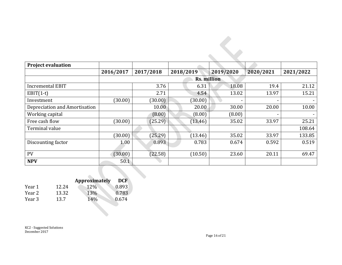| <b>Project evaluation</b>     |           |           |                    |           |           |           |
|-------------------------------|-----------|-----------|--------------------|-----------|-----------|-----------|
|                               | 2016/2017 | 2017/2018 | 2018/2019          | 2019/2020 | 2020/2021 | 2021/2022 |
|                               |           |           | <b>Rs. million</b> |           |           |           |
| <b>Incremental EBIT</b>       |           | 3.76      | 6.31               | 18.08     | 19.4      | 21.12     |
| $EBIT(1-t)$                   |           | 2.71      | 4.54               | 13.02     | 13.97     | 15.21     |
| Investment                    | (30.00)   | (30.00)   | (30.00)            |           |           |           |
| Depreciation and Amortisation |           | 10.00     | 20.00              | 30.00     | 20.00     | 10.00     |
| Working capital               |           | (8.00)    | (8.00)             | (8.00)    |           |           |
| Free cash flow                | (30.00)   | (25.29)   | (13.46)            | 35.02     | 33.97     | 25.21     |
| Terminal value                |           |           |                    |           |           | 108.64    |
|                               | (30.00)   | (25.29)   | (13.46)            | 35.02     | 33.97     | 133.85    |
| Discounting factor            | 1.00      | 0.893     | 0.783              | 0.674     | 0.592     | 0.519     |
| <b>PV</b>                     | (30.00)   | (22.58)   | (10.50)            | 23.60     | 20.11     | 69.47     |
| <b>NPV</b>                    | 50.1      |           |                    |           |           |           |

|        |       | <b>Approximately</b> | <b>DCF</b> |
|--------|-------|----------------------|------------|
| Year 1 | 12.24 | 12%                  | 0.893      |
| Year 2 | 13.32 | 13%                  | 0.783      |
| Year 3 | 13.7  | 14%                  | 0.674      |
|        |       |                      |            |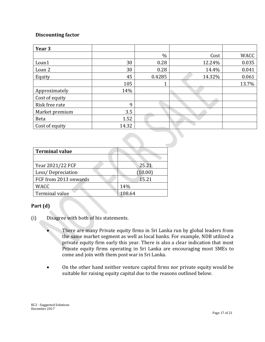# **Discounting factor**

| Year 3         |       |        |        |       |
|----------------|-------|--------|--------|-------|
|                |       | $\%$   | Cost   | WACC  |
| Loan1          | 30    | 0.28   | 12.24% | 0.035 |
| Loan 2         | 30    | 0.28   | 14.4%  | 0.041 |
| Equity         | 45    | 0.4285 | 14.32% | 0.061 |
|                | 105   | 1      |        | 13.7% |
| Approximately  | 14%   |        |        |       |
| Cost of equity |       |        |        |       |
| Risk free rate | 9     |        |        |       |
| Market premium | 3.5   |        |        |       |
| <b>Beta</b>    | 1.52  |        |        |       |
| Cost of equity | 14.32 |        |        |       |

| <b>Terminal value</b> |         |
|-----------------------|---------|
|                       |         |
| Year 2021/22 FCF      | 25.21   |
| Less/Depreciation     | (10.00) |
| FCF from 2013 onwards | 15.21   |
| <b>WACC</b>           | 14%     |
| Terminal value        | 108.64  |

# **Part (d)**

- (i) Disagree with both of his statements.
	- There are many Private equity firms in Sri Lanka run by global leaders from the same market segment as well as local banks. For example, NDB utilized a private equity firm early this year. There is also a clear indication that most Private equity firms operating in Sri Lanka are encouraging most SMEs to come and join with them post war in Sri Lanka.
	- On the other hand neither venture capital firms nor private equity would be suitable for raising equity capital due to the reasons outlined below.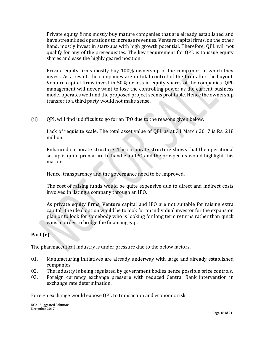Private equity firms mostly buy mature companies that are already established and have streamlined operations to increase revenues. Venture capital firms, on the other hand, mostly invest in start-ups with high growth potential. Therefore, QPL will not qualify for any of the prerequisites. The key requirement for QPL is to issue equity shares and ease the highly geared position.

Private equity firms mostly buy 100% ownership of the companies in which they invest. As a result, the companies are in total control of the firm after the [buyout.](http://www.investopedia.com/terms/b/buyout.asp) Venture capital firms invest in 50% or less in equity shares of the companies. QPL management will never want to lose the controlling power as the current business model operates well and the proposed project seems profitable. Hence the ownership transfer to a third party would not make sense.

(ii) QPL will find it difficult to go for an IPO due to the reasons given below.

Lack of requisite scale: The total asset value of QPL as at 31 March 2017 is Rs. 218 million.

Enhanced corporate structure: The corporate structure shows that the operational set up is quite premature to handle an IPO and the prospectus would highlight this matter.

Hence, transparency and the governance need to be improved.

The cost of raising funds would be quite expensive due to direct and indirect costs involved in listing a company through an IPO.

As private equity firms, Venture capital and IPO are not suitable for raising extra capital, the ideal option would be to look for an individual investor for the expansion plan or to look for somebody who is looking for long term returns rather than quick wins in order to bridge the financing gap.

# **Part (e)**

The pharmaceutical industry is under pressure due to the below factors.

- 01. Manufacturing initiatives are already underway with large and already established companies
- 02. The industry is being regulated by government bodies hence possible price controls.
- 03. Foreign currency exchange pressure with reduced Central Bank intervention in exchange rate determination.

Foreign exchange would expose QPL to transaction and economic risk.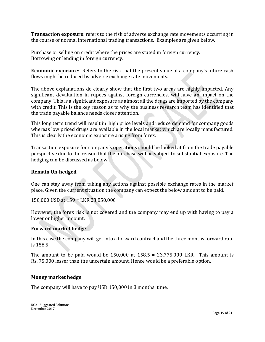**Transaction exposure**: refers to the risk of adverse exchange rate movements occurring in the course of normal international trading transactions. Examples are given below.

Purchase or selling on credit where the prices are stated in foreign currency. Borrowing or lending in foreign currency.

**Economic exposure**: Refers to the risk that the present value of a company's future cash flows might be reduced by adverse exchange rate movements.

The above explanations do clearly show that the first two areas are highly impacted. Any significant devaluation in rupees against foreign currencies, will have an impact on the company. This is a significant exposure as almost all the drugs are imported by the company with credit. This is the key reason as to why the business research team has identified that the trade payable balance needs closer attention.

This long term trend will result in high price levels and reduce demand for company goods whereas low priced drugs are available in the local market which are locally manufactured. This is clearly the economic exposure arising from forex.

Transaction exposure for company's operations should be looked at from the trade payable perspective due to the reason that the purchase will be subject to substantial exposure. The hedging can be discussed as below.

# **Remain Un-hedged**

One can stay away from taking any actions against possible exchange rates in the market place. Given the current situation the company can expect the below amount to be paid.

150,000 USD at 159 = LKR 23,850,000

However, the forex risk is not covered and the company may end up with having to pay a lower or higher amount.

## **Forward market hedge**

In this case the company will get into a forward contract and the three months forward rate is 158.5.

The amount to be paid would be  $150,000$  at  $158.5 = 23,775,000$  LKR. This amount is Rs. 75,000 lesser than the uncertain amount. Hence would be a preferable option.

## **Money market hedge**

The company will have to pay USD 150,000 in 3 months' time.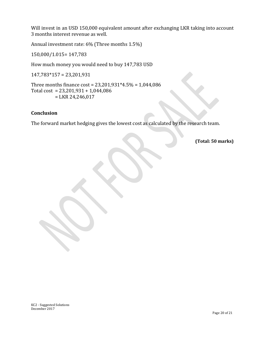Will invest in an USD 150,000 equivalent amount after exchanging LKR taking into account 3 months interest revenue as well.

Annual investment rate: 6% (Three months 1.5%)

150,000/1.015= 147,783

How much money you would need to buy 147,783 USD

147,783\*157 = 23,201,931

Three months finance cost = 23,201,931\*4.5% = 1,044,086 Total cost = 23,201,931 + 1,044,086  $=$  LKR 24,246,017

## **Conclusion**

The forward market hedging gives the lowest cost as calculated by the research team.

**(Total: 50 marks)**

KC2 - Suggested Solutions December 2017